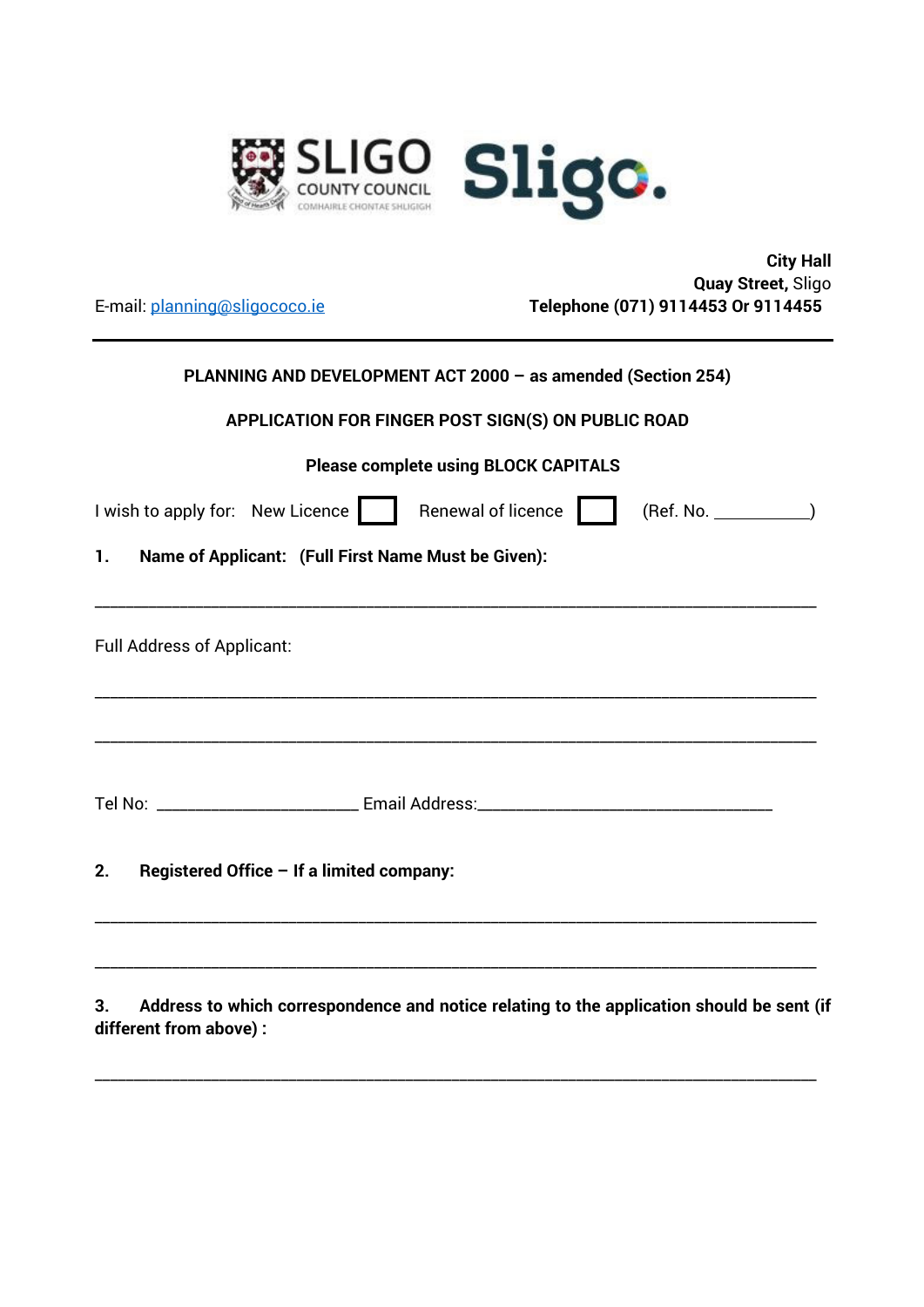

 **City Hall Quay Street,** Sligo E-mail: planning@sligococo.ie **Telephone (071) 9114453 Or 9114455** 

| PLANNING AND DEVELOPMENT ACT 2000 - as amended (Section 254) |  |
|--------------------------------------------------------------|--|

## **APPLICATION FOR FINGER POST SIGN(S) ON PUBLIC ROAD**

| <b>Please complete using BLOCK CAPITALS</b> |  |
|---------------------------------------------|--|
|---------------------------------------------|--|

| I wish to apply for: New Licence                                                                                  | Renewal of licence | (Ref. No. |  |
|-------------------------------------------------------------------------------------------------------------------|--------------------|-----------|--|
| Name of Applicant: (Full First Name Must be Given):<br>1.                                                         |                    |           |  |
|                                                                                                                   |                    |           |  |
| <b>Full Address of Applicant:</b>                                                                                 |                    |           |  |
|                                                                                                                   |                    |           |  |
|                                                                                                                   |                    |           |  |
|                                                                                                                   |                    |           |  |
| Registered Office - If a limited company:<br>2.                                                                   |                    |           |  |
|                                                                                                                   |                    |           |  |
| the second contract of the contract of the second contract of the contract of the contract of the contract of the |                    |           |  |

**3. Address to which correspondence and notice relating to the application should be sent (if different from above) :** 

\_\_\_\_\_\_\_\_\_\_\_\_\_\_\_\_\_\_\_\_\_\_\_\_\_\_\_\_\_\_\_\_\_\_\_\_\_\_\_\_\_\_\_\_\_\_\_\_\_\_\_\_\_\_\_\_\_\_\_\_\_\_\_\_\_\_\_\_\_\_\_\_\_\_\_\_\_\_\_\_\_\_\_\_\_\_\_\_\_\_\_\_\_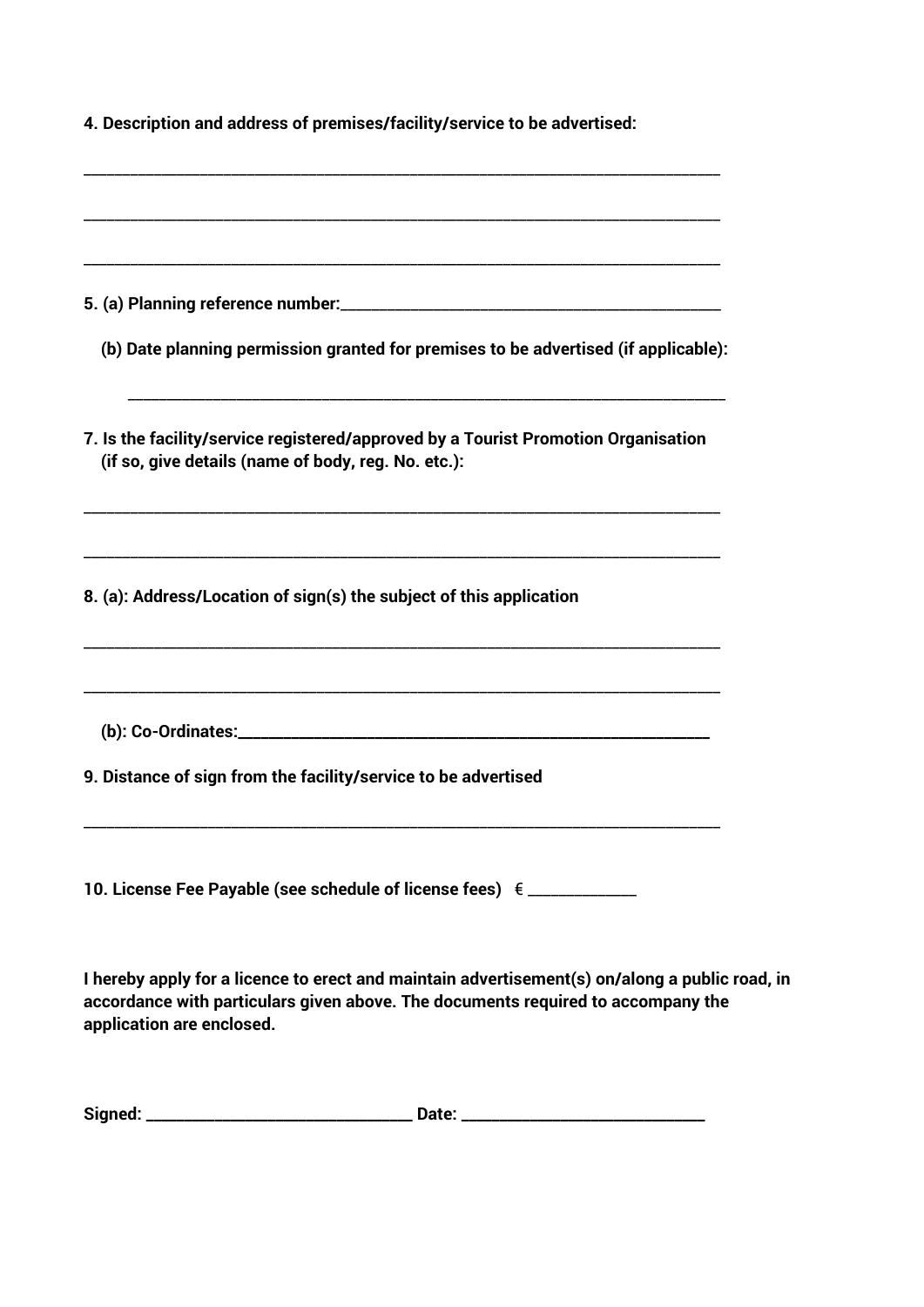| 4. Description and address of premises/facility/service to be advertised:                                                                                                                                       |
|-----------------------------------------------------------------------------------------------------------------------------------------------------------------------------------------------------------------|
|                                                                                                                                                                                                                 |
|                                                                                                                                                                                                                 |
| (b) Date planning permission granted for premises to be advertised (if applicable):                                                                                                                             |
| 7. Is the facility/service registered/approved by a Tourist Promotion Organisation<br>(if so, give details (name of body, reg. No. etc.):                                                                       |
| 8. (a): Address/Location of sign(s) the subject of this application                                                                                                                                             |
|                                                                                                                                                                                                                 |
| 9. Distance of sign from the facility/service to be advertised                                                                                                                                                  |
| 10. License Fee Payable (see schedule of license fees) $\epsilon$ _____________                                                                                                                                 |
| I hereby apply for a licence to erect and maintain advertisement(s) on/along a public road, in<br>accordance with particulars given above. The documents required to accompany the<br>application are enclosed. |

| Signed: | Date:<br>أأحمد فسأحمض الماركات المستحقة المستحقة المستحقة المستحقة أنساء المستحقة المستحقة المستحقة المستحقة المستحقة أنسا |  |
|---------|----------------------------------------------------------------------------------------------------------------------------|--|
|         |                                                                                                                            |  |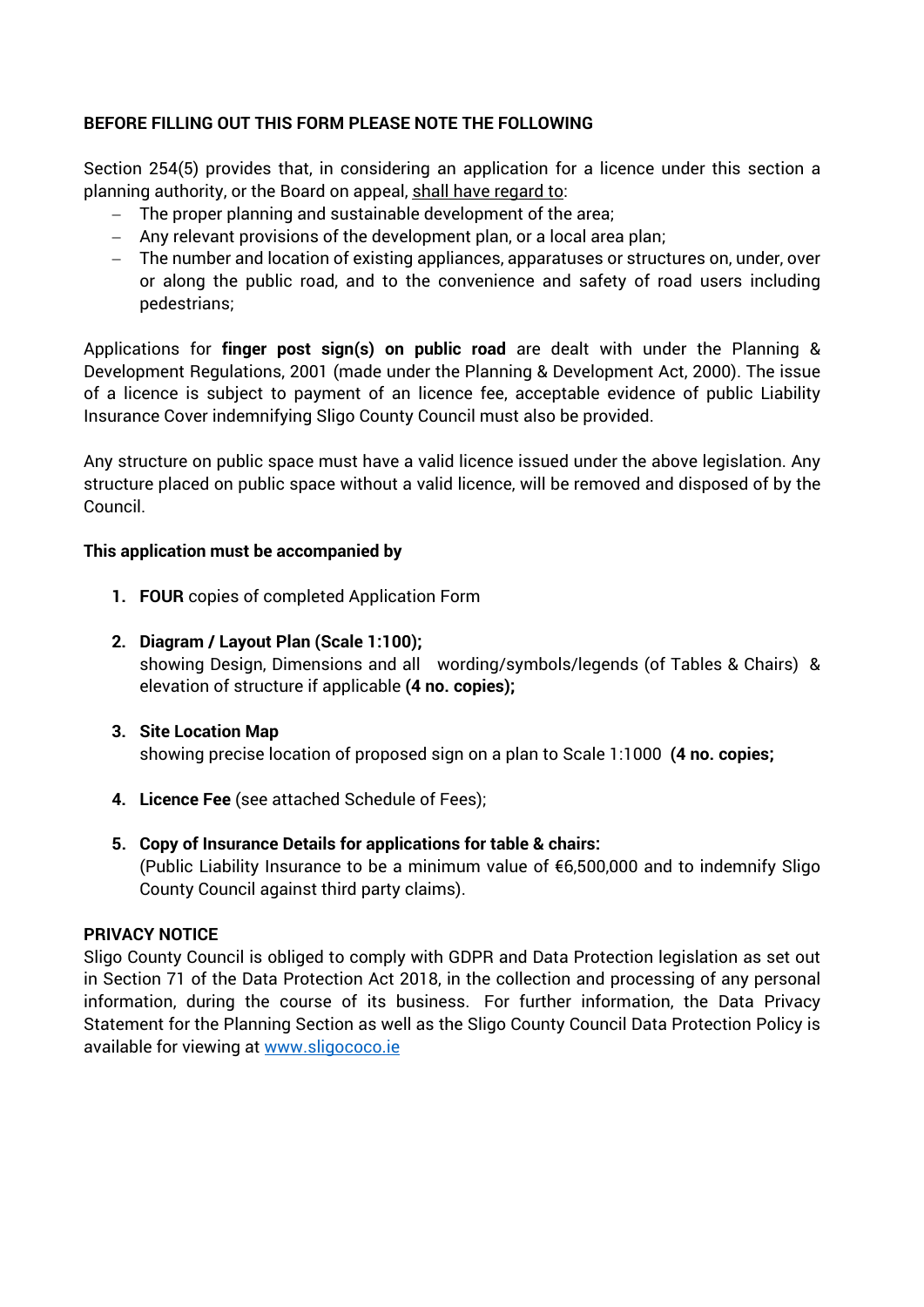## **BEFORE FILLING OUT THIS FORM PLEASE NOTE THE FOLLOWING**

Section 254(5) provides that, in considering an application for a licence under this section a planning authority, or the Board on appeal, shall have regard to:

- The proper planning and sustainable development of the area;
- Any relevant provisions of the development plan, or a local area plan;
- The number and location of existing appliances, apparatuses or structures on, under, over or along the public road, and to the convenience and safety of road users including pedestrians;

Applications for **finger post sign(s) on public road** are dealt with under the Planning & Development Regulations, 2001 (made under the Planning & Development Act, 2000). The issue of a licence is subject to payment of an licence fee, acceptable evidence of public Liability Insurance Cover indemnifying Sligo County Council must also be provided.

Any structure on public space must have a valid licence issued under the above legislation. Any structure placed on public space without a valid licence, will be removed and disposed of by the Council.

## **This application must be accompanied by**

- **1. FOUR** copies of completed Application Form
- **2. Diagram / Layout Plan (Scale 1:100);**  showing Design, Dimensions and all wording/symbols/legends (of Tables & Chairs) & elevation of structure if applicable **(4 no. copies);**
- **3. Site Location Map**  showing precise location of proposed sign on a plan to Scale 1:1000 **(4 no. copies;**
- 
- **4. Licence Fee** (see attached Schedule of Fees);
- **5. Copy of Insurance Details for applications for table & chairs:** (Public Liability Insurance to be a minimum value of €6,500,000 and to indemnify Sligo County Council against third party claims).

## **PRIVACY NOTICE**

Sligo County Council is obliged to comply with GDPR and Data Protection legislation as set out in Section 71 of the Data Protection Act 2018, in the collection and processing of any personal information, during the course of its business. For further information, the Data Privacy Statement for the Planning Section as well as the Sligo County Council Data Protection Policy is available for viewing at www.sligococo.ie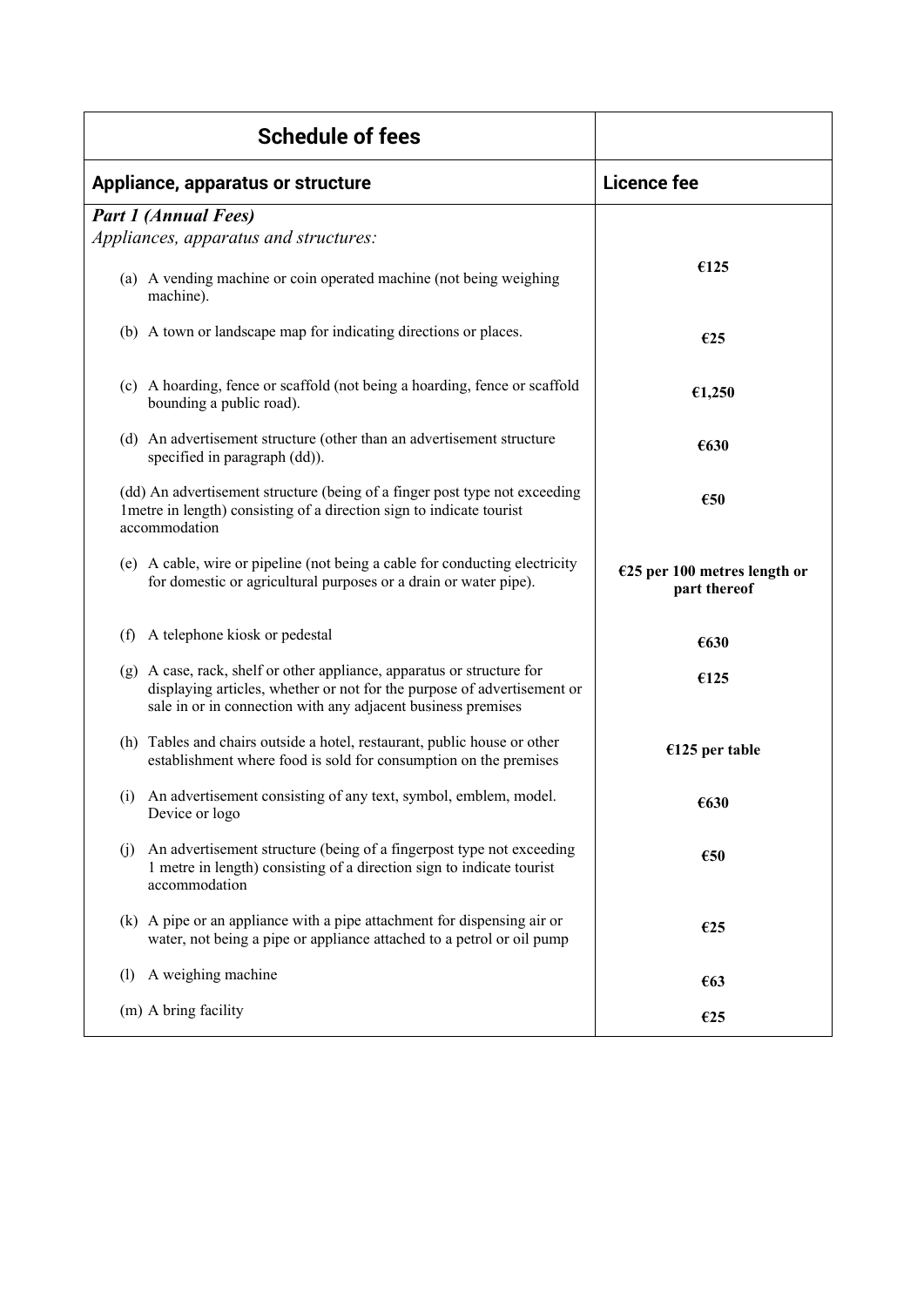| <b>Schedule of fees</b>                                                                                                                                                                                           |                                                |
|-------------------------------------------------------------------------------------------------------------------------------------------------------------------------------------------------------------------|------------------------------------------------|
| Appliance, apparatus or structure                                                                                                                                                                                 | <b>Licence fee</b>                             |
| <b>Part 1 (Annual Fees)</b><br>Appliances, apparatus and structures:                                                                                                                                              |                                                |
| (a) A vending machine or coin operated machine (not being weighing<br>machine).                                                                                                                                   | €125                                           |
| (b) A town or landscape map for indicating directions or places.                                                                                                                                                  | €25                                            |
| (c) A hoarding, fence or scaffold (not being a hoarding, fence or scaffold<br>bounding a public road).                                                                                                            | €1,250                                         |
| (d) An advertisement structure (other than an advertisement structure<br>specified in paragraph (dd)).                                                                                                            | €630                                           |
| (dd) An advertisement structure (being of a finger post type not exceeding<br>1 metre in length) consisting of a direction sign to indicate tourist<br>accommodation                                              | €50                                            |
| (e) A cable, wire or pipeline (not being a cable for conducting electricity<br>for domestic or agricultural purposes or a drain or water pipe).                                                                   | $E25$ per 100 metres length or<br>part thereof |
| (f) A telephone kiosk or pedestal                                                                                                                                                                                 | €630                                           |
| (g) A case, rack, shelf or other appliance, apparatus or structure for<br>displaying articles, whether or not for the purpose of advertisement or<br>sale in or in connection with any adjacent business premises | €125                                           |
| (h) Tables and chairs outside a hotel, restaurant, public house or other<br>establishment where food is sold for consumption on the premises                                                                      | $€125$ per table                               |
| An advertisement consisting of any text, symbol, emblem, model.<br>(i)<br>Device or logo                                                                                                                          | €630                                           |
| An advertisement structure (being of a fingerpost type not exceeding<br>(j)<br>1 metre in length) consisting of a direction sign to indicate tourist<br>accommodation                                             | €50                                            |
| (k) A pipe or an appliance with a pipe attachment for dispensing air or<br>water, not being a pipe or appliance attached to a petrol or oil pump                                                                  | €25                                            |
| A weighing machine<br>(1)                                                                                                                                                                                         | €63                                            |
| (m) A bring facility                                                                                                                                                                                              | €25                                            |